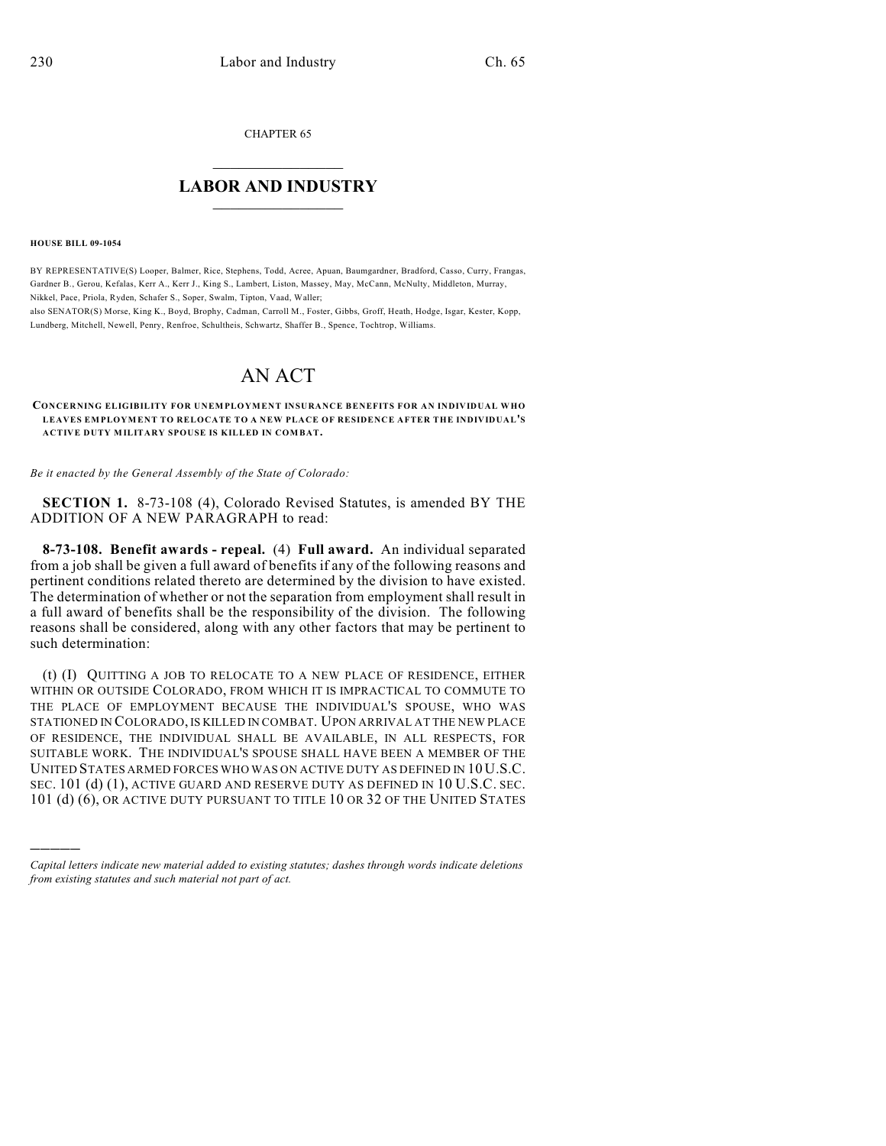CHAPTER 65

## $\overline{\phantom{a}}$  . The set of the set of the set of the set of the set of the set of the set of the set of the set of the set of the set of the set of the set of the set of the set of the set of the set of the set of the set o **LABOR AND INDUSTRY**  $\frac{1}{\sqrt{2}}$  ,  $\frac{1}{\sqrt{2}}$  ,  $\frac{1}{\sqrt{2}}$  ,  $\frac{1}{\sqrt{2}}$  ,  $\frac{1}{\sqrt{2}}$  ,  $\frac{1}{\sqrt{2}}$

**HOUSE BILL 09-1054**

)))))

BY REPRESENTATIVE(S) Looper, Balmer, Rice, Stephens, Todd, Acree, Apuan, Baumgardner, Bradford, Casso, Curry, Frangas, Gardner B., Gerou, Kefalas, Kerr A., Kerr J., King S., Lambert, Liston, Massey, May, McCann, McNulty, Middleton, Murray, Nikkel, Pace, Priola, Ryden, Schafer S., Soper, Swalm, Tipton, Vaad, Waller; also SENATOR(S) Morse, King K., Boyd, Brophy, Cadman, Carroll M., Foster, Gibbs, Groff, Heath, Hodge, Isgar, Kester, Kopp,

Lundberg, Mitchell, Newell, Penry, Renfroe, Schultheis, Schwartz, Shaffer B., Spence, Tochtrop, Williams.

## AN ACT

**CONCERNING ELIGIBILITY FOR UNEMPLOYMENT INSURANCE BENEFITS FOR AN INDIVIDUAL WHO LEAVES EMPLOYMENT TO RELOCATE TO A NEW PLACE OF RESIDENCE AFTER THE INDIVIDUAL'S ACTIVE DUTY MILITARY SPOUSE IS KILLED IN COMBAT.**

*Be it enacted by the General Assembly of the State of Colorado:*

**SECTION 1.** 8-73-108 (4), Colorado Revised Statutes, is amended BY THE ADDITION OF A NEW PARAGRAPH to read:

**8-73-108. Benefit awards - repeal.** (4) **Full award.** An individual separated from a job shall be given a full award of benefits if any of the following reasons and pertinent conditions related thereto are determined by the division to have existed. The determination of whether or not the separation from employment shall result in a full award of benefits shall be the responsibility of the division. The following reasons shall be considered, along with any other factors that may be pertinent to such determination:

(t) (I) QUITTING A JOB TO RELOCATE TO A NEW PLACE OF RESIDENCE, EITHER WITHIN OR OUTSIDE COLORADO, FROM WHICH IT IS IMPRACTICAL TO COMMUTE TO THE PLACE OF EMPLOYMENT BECAUSE THE INDIVIDUAL'S SPOUSE, WHO WAS STATIONED IN COLORADO, IS KILLED IN COMBAT. UPON ARRIVAL AT THE NEW PLACE OF RESIDENCE, THE INDIVIDUAL SHALL BE AVAILABLE, IN ALL RESPECTS, FOR SUITABLE WORK. THE INDIVIDUAL'S SPOUSE SHALL HAVE BEEN A MEMBER OF THE UNITED STATES ARMED FORCES WHO WAS ON ACTIVE DUTY AS DEFINED IN 10 U.S.C. SEC. 101 (d) (1), ACTIVE GUARD AND RESERVE DUTY AS DEFINED IN 10 U.S.C. SEC. 101 (d) (6), OR ACTIVE DUTY PURSUANT TO TITLE 10 OR 32 OF THE UNITED STATES

*Capital letters indicate new material added to existing statutes; dashes through words indicate deletions from existing statutes and such material not part of act.*